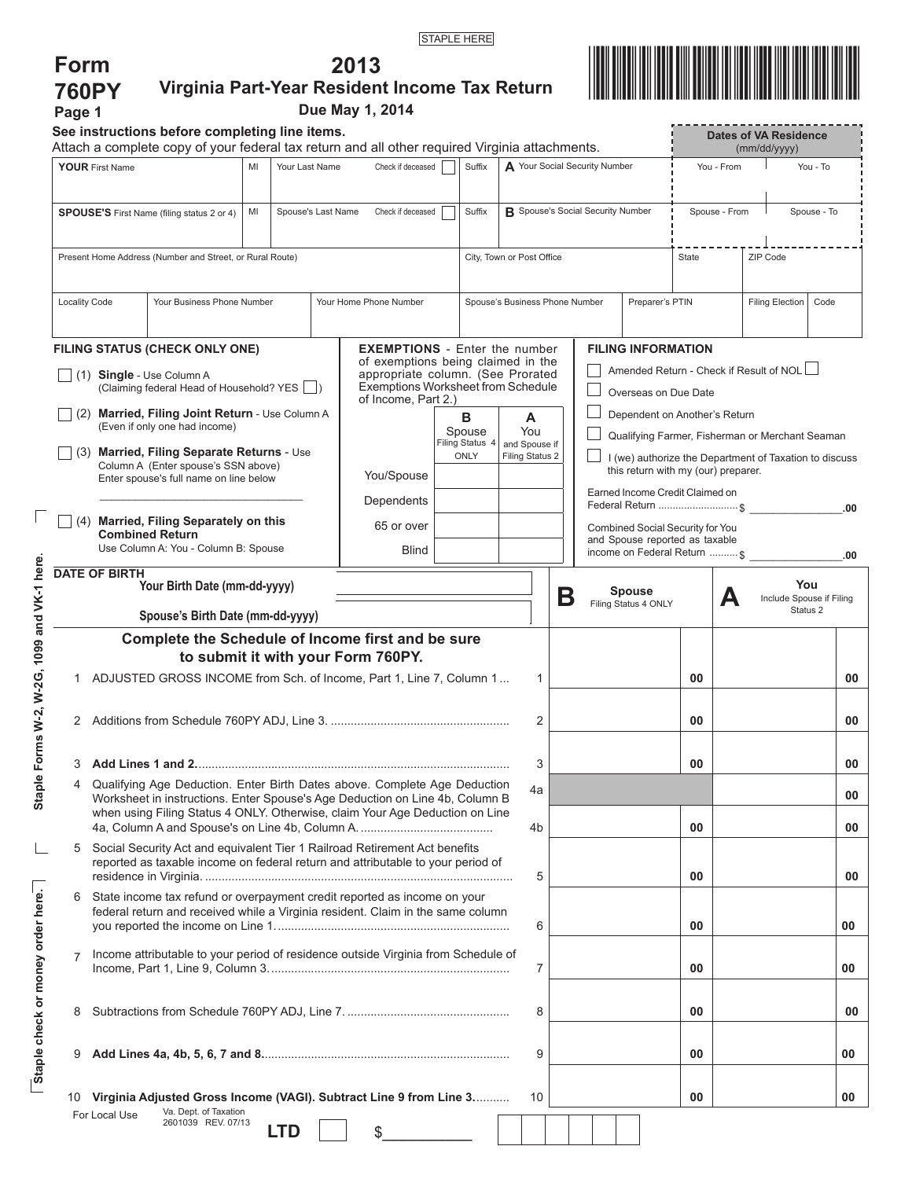**2013** 



| <b>760PY</b><br>Page 1                                                        |                                                                                                                                                                     |                                                                                                                             |                   |            |                             | Virginia Part-Year Resident Income Tax Return<br>Due May 1, 2014                                                                                              |  |                         |                                          |                                                                                                                                                  |                                                       |            |                        |                      | <u>Mill of the Hill of Hill</u> |   |                                              |                 |     |
|-------------------------------------------------------------------------------|---------------------------------------------------------------------------------------------------------------------------------------------------------------------|-----------------------------------------------------------------------------------------------------------------------------|-------------------|------------|-----------------------------|---------------------------------------------------------------------------------------------------------------------------------------------------------------|--|-------------------------|------------------------------------------|--------------------------------------------------------------------------------------------------------------------------------------------------|-------------------------------------------------------|------------|------------------------|----------------------|---------------------------------|---|----------------------------------------------|-----------------|-----|
|                                                                               |                                                                                                                                                                     | See instructions before completing line items.                                                                              |                   |            |                             | Attach a complete copy of your federal tax return and all other required Virginia attachments.                                                                |  |                         |                                          |                                                                                                                                                  |                                                       |            |                        |                      |                                 |   | <b>Dates of VA Residence</b><br>(mm/dd/yyyy) |                 |     |
| Your Last Name<br><b>YOUR First Name</b><br>MI                                |                                                                                                                                                                     |                                                                                                                             | Check if deceased | Suffix     | Your Social Security Number |                                                                                                                                                               |  |                         |                                          |                                                                                                                                                  |                                                       | You - From |                        | You - To             |                                 |   |                                              |                 |     |
| MI<br>Spouse's Last Name<br><b>SPOUSE'S</b> First Name (filing status 2 or 4) |                                                                                                                                                                     |                                                                                                                             |                   |            |                             | Suffix<br>Check if deceased                                                                                                                                   |  |                         | <b>B</b> Spouse's Social Security Number |                                                                                                                                                  |                                                       |            |                        |                      | Spouse - From                   |   | Spouse - To                                  |                 |     |
| Present Home Address (Number and Street, or Rural Route)                      |                                                                                                                                                                     |                                                                                                                             |                   |            |                             |                                                                                                                                                               |  |                         | City, Town or Post Office                |                                                                                                                                                  |                                                       |            |                        |                      | State                           |   | ZIP Code                                     |                 |     |
| <b>Locality Code</b>                                                          |                                                                                                                                                                     | Your Home Phone Number                                                                                                      |                   |            |                             | Spouse's Business Phone Number<br>Preparer's PTIN                                                                                                             |  |                         |                                          |                                                                                                                                                  |                                                       |            | <b>Filing Election</b> | Code                 |                                 |   |                                              |                 |     |
|                                                                               |                                                                                                                                                                     | FILING STATUS (CHECK ONLY ONE)                                                                                              |                   |            |                             | <b>EXEMPTIONS</b> - Enter the number                                                                                                                          |  |                         |                                          |                                                                                                                                                  |                                                       |            |                        |                      | <b>FILING INFORMATION</b>       |   |                                              |                 |     |
|                                                                               |                                                                                                                                                                     | $(1)$ Single - Use Column A<br>(Claiming federal Head of Household? YES                                                     |                   |            |                             | of exemptions being claimed in the<br>appropriate column. (See Prorated<br><b>Exemptions Worksheet from Schedule</b>                                          |  |                         |                                          | Amended Return - Check if Result of NOL<br>Overseas on Due Date                                                                                  |                                                       |            |                        |                      |                                 |   |                                              |                 |     |
|                                                                               | of Income, Part 2.)<br>(2) Married, Filing Joint Return - Use Column A<br>Dependent on Another's Return<br>в<br>A<br>(Even if only one had income)<br>You<br>Spouse |                                                                                                                             |                   |            |                             |                                                                                                                                                               |  |                         |                                          |                                                                                                                                                  |                                                       |            |                        |                      |                                 |   |                                              |                 |     |
|                                                                               |                                                                                                                                                                     | (3) Married, Filing Separate Returns - Use<br>Column A (Enter spouse's SSN above)<br>Enter spouse's full name on line below |                   |            |                             | You/Spouse                                                                                                                                                    |  | Filing Status 4<br>ONLY | and Spouse if<br>Filing Status 2         | Qualifying Farmer, Fisherman or Merchant Seaman<br>I (we) authorize the Department of Taxation to discuss<br>this return with my (our) preparer. |                                                       |            |                        |                      |                                 |   |                                              |                 |     |
|                                                                               |                                                                                                                                                                     |                                                                                                                             |                   |            |                             | Dependents                                                                                                                                                    |  |                         |                                          |                                                                                                                                                  | Earned Income Credit Claimed on<br>Federal Return  \$ |            |                        |                      |                                 |   | .00                                          |                 |     |
|                                                                               |                                                                                                                                                                     | (4) Married, Filing Separately on this<br><b>Combined Return</b><br>Use Column A: You - Column B: Spouse                    |                   |            |                             | 65 or over<br><b>Blind</b>                                                                                                                                    |  |                         |                                          | Combined Social Security for You<br>and Spouse reported as taxable<br>income on Federal Return  \$                                               |                                                       |            |                        |                      |                                 |   |                                              |                 |     |
|                                                                               | <b>DATE OF BIRTH</b>                                                                                                                                                |                                                                                                                             |                   |            |                             |                                                                                                                                                               |  |                         |                                          |                                                                                                                                                  |                                                       |            |                        |                      |                                 |   |                                              |                 | .00 |
|                                                                               | Your Birth Date (mm-dd-yyyy)<br>Spouse's Birth Date (mm-dd-yyyy)                                                                                                    |                                                                                                                             |                   |            |                             |                                                                                                                                                               |  |                         |                                          |                                                                                                                                                  | Β                                                     |            | <b>Spouse</b>          | Filing Status 4 ONLY |                                 | А | Include Spouse if Filing                     | You<br>Status 2 |     |
|                                                                               |                                                                                                                                                                     |                                                                                                                             |                   |            |                             | Complete the Schedule of Income first and be sure                                                                                                             |  |                         |                                          |                                                                                                                                                  |                                                       |            |                        |                      |                                 |   |                                              |                 |     |
|                                                                               |                                                                                                                                                                     |                                                                                                                             |                   |            |                             | to submit it with your Form 760PY.                                                                                                                            |  |                         |                                          |                                                                                                                                                  |                                                       |            |                        |                      |                                 |   |                                              |                 |     |
|                                                                               |                                                                                                                                                                     |                                                                                                                             |                   |            |                             | ADJUSTED GROSS INCOME from Sch. of Income, Part 1, Line 7, Column 1                                                                                           |  |                         | 1                                        |                                                                                                                                                  |                                                       |            |                        |                      | 00                              |   |                                              |                 | 00  |
|                                                                               |                                                                                                                                                                     |                                                                                                                             |                   |            |                             |                                                                                                                                                               |  |                         | 2                                        |                                                                                                                                                  |                                                       |            |                        |                      | 00                              |   |                                              |                 | 00  |
| 3                                                                             |                                                                                                                                                                     |                                                                                                                             |                   |            |                             |                                                                                                                                                               |  |                         | 3                                        |                                                                                                                                                  |                                                       |            |                        |                      | 00                              |   |                                              |                 | 00  |
| 4                                                                             |                                                                                                                                                                     |                                                                                                                             |                   |            |                             | Qualifying Age Deduction. Enter Birth Dates above. Complete Age Deduction<br>Worksheet in instructions. Enter Spouse's Age Deduction on Line 4b, Column B     |  |                         | 4a                                       |                                                                                                                                                  |                                                       |            |                        |                      |                                 |   |                                              |                 | 00  |
|                                                                               |                                                                                                                                                                     |                                                                                                                             |                   |            |                             | when using Filing Status 4 ONLY. Otherwise, claim Your Age Deduction on Line                                                                                  |  |                         | 4b                                       |                                                                                                                                                  |                                                       |            |                        |                      | 00                              |   |                                              |                 | 00  |
|                                                                               |                                                                                                                                                                     |                                                                                                                             |                   |            |                             | Social Security Act and equivalent Tier 1 Railroad Retirement Act benefits<br>reported as taxable income on federal return and attributable to your period of |  |                         | 5                                        |                                                                                                                                                  |                                                       |            |                        |                      | 00                              |   |                                              |                 | 00  |
| 6                                                                             |                                                                                                                                                                     |                                                                                                                             |                   |            |                             | State income tax refund or overpayment credit reported as income on your<br>federal return and received while a Virginia resident. Claim in the same column   |  |                         | 6                                        |                                                                                                                                                  |                                                       |            |                        |                      | 00                              |   |                                              |                 | 00  |
|                                                                               |                                                                                                                                                                     |                                                                                                                             |                   |            |                             | Income attributable to your period of residence outside Virginia from Schedule of                                                                             |  |                         | 7                                        |                                                                                                                                                  |                                                       |            |                        |                      | 00                              |   |                                              |                 | 00  |
| 8                                                                             |                                                                                                                                                                     |                                                                                                                             |                   |            |                             |                                                                                                                                                               |  |                         | 8                                        |                                                                                                                                                  |                                                       |            |                        |                      | 00                              |   |                                              |                 | 00  |
| 9                                                                             |                                                                                                                                                                     |                                                                                                                             |                   |            |                             |                                                                                                                                                               |  |                         | 9                                        |                                                                                                                                                  |                                                       |            |                        |                      | 00                              |   |                                              |                 | 00  |
|                                                                               |                                                                                                                                                                     | Va. Dept. of Taxation                                                                                                       |                   |            |                             | 10 Virginia Adjusted Gross Income (VAGI). Subtract Line 9 from Line 3                                                                                         |  |                         | 10                                       |                                                                                                                                                  |                                                       |            |                        |                      | 00                              |   |                                              |                 | 00  |
|                                                                               | For Local Use                                                                                                                                                       | 2601039 REV. 07/13                                                                                                          |                   | <b>LTD</b> |                             | \$                                                                                                                                                            |  |                         |                                          |                                                                                                                                                  |                                                       |            |                        |                      |                                 |   |                                              |                 |     |

 $\overline{\Gamma}$ 

**Staple check or money order here.**

Staple check or money order here.